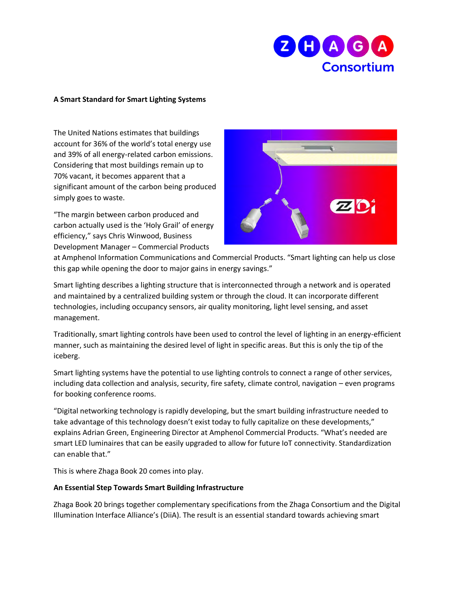

## **A Smart Standard for Smart Lighting Systems**

The United Nations estimates that buildings account for 36% of the world's total energy use and 39% of all energy-related carbon emissions. Considering that most buildings remain up to 70% vacant, it becomes apparent that a significant amount of the carbon being produced simply goes to waste.

"The margin between carbon produced and carbon actually used is the 'Holy Grail' of energy efficiency," says Chris Winwood, Business Development Manager – Commercial Products



at Amphenol Information Communications and Commercial Products. "Smart lighting can help us close this gap while opening the door to major gains in energy savings."

Smart lighting describes a lighting structure that is interconnected through a network and is operated and maintained by a centralized building system or through the cloud. It can incorporate different technologies, including occupancy sensors, air quality monitoring, light level sensing, and asset management.

Traditionally, smart lighting controls have been used to control the level of lighting in an energy-efficient manner, such as maintaining the desired level of light in specific areas. But this is only the tip of the iceberg.

Smart lighting systems have the potential to use lighting controls to connect a range of other services, including data collection and analysis, security, fire safety, climate control, navigation – even programs for booking conference rooms.

"Digital networking technology is rapidly developing, but the smart building infrastructure needed to take advantage of this technology doesn't exist today to fully capitalize on these developments," explains Adrian Green, Engineering Director at Amphenol Commercial Products. "What's needed are smart LED luminaires that can be easily upgraded to allow for future IoT connectivity. Standardization can enable that."

This is where Zhaga Book 20 comes into play.

## **An Essential Step Towards Smart Building Infrastructure**

Zhaga Book 20 brings together complementary specifications from the Zhaga Consortium and the Digital Illumination Interface Alliance's (DiiA). The result is an essential standard towards achieving smart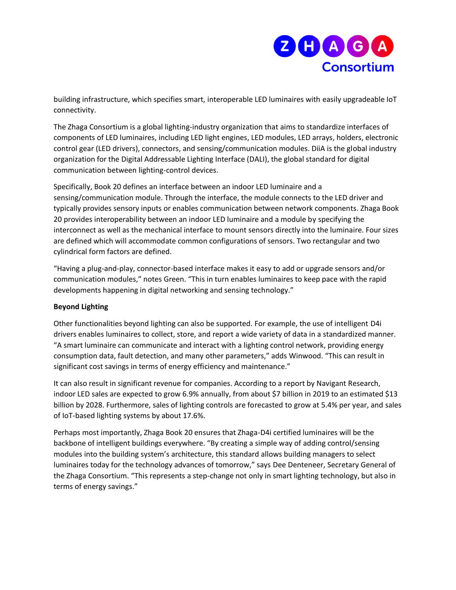

building infrastructure, which specifies smart, interoperable LED luminaires with easily upgradeable IoT connectivity.

The Zhaga Consortium is a global lighting-industry organization that aims to standardize interfaces of components of LED luminaires, including LED light engines, LED modules, LED arrays, holders, electronic control gear (LED drivers), connectors, and sensing/communication modules. DiiA is the global industry organization for the Digital Addressable Lighting Interface (DALI), the global standard for digital communication between lighting-control devices.

Specifically, Book 20 defines an interface between an indoor LED luminaire and a sensing/communication module. Through the interface, the module connects to the LED driver and typically provides sensory inputs or enables communication between network components. Zhaga Book 20 provides interoperability between an indoor LED luminaire and a module by specifying the interconnect as well as the mechanical interface to mount sensors directly into the luminaire. Four sizes are defined which will accommodate common configurations of sensors. Two rectangular and two cylindrical form factors are defined.

"Having a plug-and-play, connector-based interface makes it easy to add or upgrade sensors and/or communication modules," notes Green. "This in turn enables luminaires to keep pace with the rapid developments happening in digital networking and sensing technology."

## **Beyond Lighting**

Other functionalities beyond lighting can also be supported. For example, the use of intelligent D4i drivers enables luminaires to collect, store, and report a wide variety of data in a standardized manner. "A smart luminaire can communicate and interact with a lighting control network, providing energy consumption data, fault detection, and many other parameters," adds Winwood. "This can result in significant cost savings in terms of energy efficiency and maintenance."

It can also result in significant revenue for companies. According to a report by Navigant Research, indoor LED sales are expected to grow 6.9% annually, from about \$7 billion in 2019 to an estimated \$13 billion by 2028. Furthermore, sales of lighting controls are forecasted to grow at 5.4% per year, and sales of IoT-based lighting systems by about 17.6%.

Perhaps most importantly, Zhaga Book 20 ensures that Zhaga-D4i certified luminaires will be the backbone of intelligent buildings everywhere. "By creating a simple way of adding control/sensing modules into the building system's architecture, this standard allows building managers to select luminaires today for the technology advances of tomorrow," says Dee Denteneer, Secretary General of the Zhaga Consortium. "This represents a step-change not only in smart lighting technology, but also in terms of energy savings."